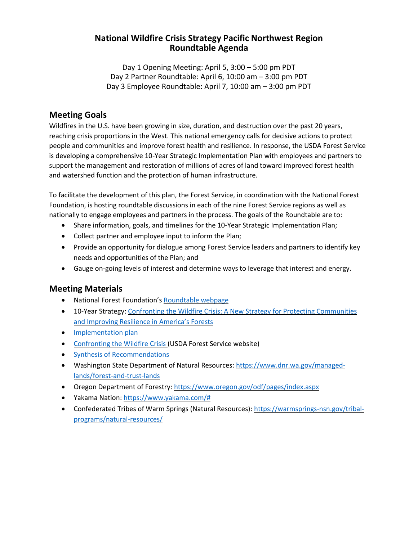#### **National Wildfire Crisis Strategy Pacific Northwest Region Roundtable Agenda**

Day 1 Opening Meeting: April 5, 3:00 – 5:00 pm PDT Day 2 Partner Roundtable: April 6, 10:00 am – 3:00 pm PDT Day 3 Employee Roundtable: April 7, 10:00 am – 3:00 pm PDT

#### **Meeting Goals**

Wildfires in the U.S. have been growing in size, duration, and destruction over the past 20 years, reaching crisis proportions in the West. This national emergency calls for decisive actions to protect people and communities and improve forest health and resilience. In response, the USDA Forest Service is developing a comprehensive 10-Year Strategic Implementation Plan with employees and partners to support the management and restoration of millions of acres of land toward improved forest health and watershed function and the protection of human infrastructure.

To facilitate the development of this plan, the Forest Service, in coordination with the National Forest Foundation, is hosting roundtable discussions in each of the nine Forest Service regions as well as nationally to engage employees and partners in the process. The goals of the Roundtable are to:

- Share information, goals, and timelines for the 10-Year Strategic Implementation Plan;
- Collect partner and employee input to inform the Plan;
- Provide an opportunity for dialogue among Forest Service leaders and partners to identify key needs and opportunities of the Plan; and
- Gauge on-going levels of interest and determine ways to leverage that interest and energy.

### **Meeting Materials**

- National Forest Foundation's [Roundtable](https://www.nationalforests.org/collaboration-resources/wildfire-crisis-strategy-roundtables) webpage
- 10-Year Strategy: Confronting the Wildfire Crisis: A New Strategy for Protecting [Communities](https://www.fs.usda.gov/sites/default/files/Confronting-Wildfire-Crisis.pdf) and [Improving](https://www.fs.usda.gov/sites/default/files/Confronting-Wildfire-Crisis.pdf) Resilience in America's Forests
- [Implementation](https://www.fs.usda.gov/sites/default/files/Wildfire-Crisis-Implementation-Plan.pdf) plan
- [Confronting](https://www.fs.usda.gov/managing-land/wildfire-crisis) the Wildfire Crisis (USDA Forest Service website)
- Synthesis of [Recommendations](https://www.nationalforests.org/assets/blog/Wildfire-Risk-Reduction-Partner-Recommendation-Analysis.pdf)
- Washington State Department of Natural Resources: [https://www.dnr.wa.gov/managed](https://www.dnr.wa.gov/managed-lands/forest-and-trust-lands)[lands/forest-and-trust-lands](https://www.dnr.wa.gov/managed-lands/forest-and-trust-lands)
- Oregon Department of Forestry: <https://www.oregon.gov/odf/pages/index.aspx>
- Yakama Nation: [https://www.yakama.com/#](https://www.yakama.com/)
- Confederated Tribes of Warm Springs (Natural Resources): [https://warmsprings-nsn.gov/tribal](https://warmsprings-nsn.gov/tribal-programs/natural-resources/)[programs/natural-resources/](https://warmsprings-nsn.gov/tribal-programs/natural-resources/)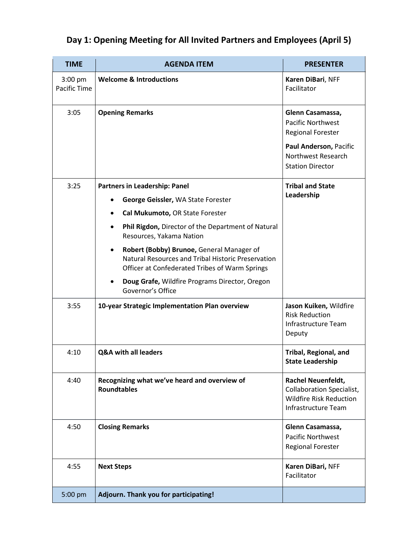| <b>TIME</b>             | <b>AGENDA ITEM</b>                                                                                                                                             | <b>PRESENTER</b>                                                                                                |
|-------------------------|----------------------------------------------------------------------------------------------------------------------------------------------------------------|-----------------------------------------------------------------------------------------------------------------|
| 3:00 pm<br>Pacific Time | <b>Welcome &amp; Introductions</b>                                                                                                                             | Karen DiBari, NFF<br>Facilitator                                                                                |
| 3:05                    | <b>Opening Remarks</b>                                                                                                                                         | Glenn Casamassa,<br><b>Pacific Northwest</b><br><b>Regional Forester</b>                                        |
|                         |                                                                                                                                                                | Paul Anderson, Pacific<br>Northwest Research<br><b>Station Director</b>                                         |
| 3:25                    | Partners in Leadership: Panel                                                                                                                                  | <b>Tribal and State</b><br>Leadership                                                                           |
|                         | George Geissler, WA State Forester                                                                                                                             |                                                                                                                 |
|                         | Cal Mukumoto, OR State Forester<br>$\bullet$                                                                                                                   |                                                                                                                 |
|                         | Phil Rigdon, Director of the Department of Natural<br>$\bullet$<br>Resources, Yakama Nation                                                                    |                                                                                                                 |
|                         | Robert (Bobby) Brunoe, General Manager of<br>$\bullet$<br>Natural Resources and Tribal Historic Preservation<br>Officer at Confederated Tribes of Warm Springs |                                                                                                                 |
|                         | Doug Grafe, Wildfire Programs Director, Oregon<br>Governor's Office                                                                                            |                                                                                                                 |
| 3:55                    | 10-year Strategic Implementation Plan overview                                                                                                                 | Jason Kuiken, Wildfire<br><b>Risk Reduction</b><br>Infrastructure Team<br>Deputy                                |
| 4:10                    | <b>Q&amp;A with all leaders</b>                                                                                                                                | Tribal, Regional, and<br><b>State Leadership</b>                                                                |
| 4:40                    | Recognizing what we've heard and overview of<br><b>Roundtables</b>                                                                                             | Rachel Neuenfeldt,<br><b>Collaboration Specialist,</b><br><b>Wildfire Risk Reduction</b><br>Infrastructure Team |
| 4:50                    | <b>Closing Remarks</b>                                                                                                                                         | Glenn Casamassa,<br><b>Pacific Northwest</b><br><b>Regional Forester</b>                                        |
| 4:55                    | <b>Next Steps</b>                                                                                                                                              | Karen DiBari, NFF<br>Facilitator                                                                                |
| 5:00 pm                 | Adjourn. Thank you for participating!                                                                                                                          |                                                                                                                 |

## **Day 1: Opening Meeting for All Invited Partners and Employees (April 5)**